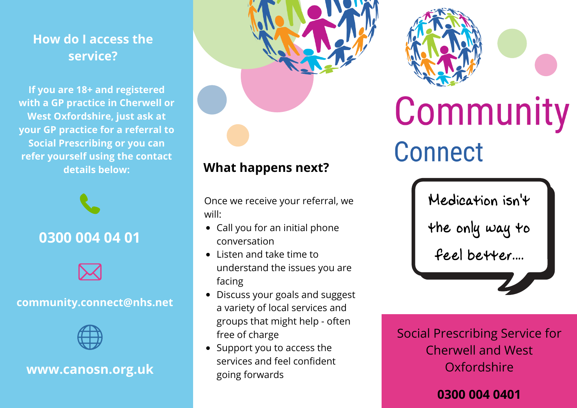## **How do I access the service?**

**If you are 18+ and registered with a GP practice in Cherwell or West Oxfordshire, just ask at your GP practice for a referral to Social Prescribing or you can refer yourself using the contact details below:**





#### **community.connect@nhs.net**



### **www.canosn.org.uk**



## **What happens next?**

Once we receive your referral, we will:

- Call you for an initial phone conversation
- $\bullet$  Listen and take time to understand the issues you are facing
- Discuss your goals and suggest a variety of local services and groups that might help - often free of charge
- Support you to access the services and feel confident going forwards



# Community **Connect**

Medication isn 'tthe only way to feel better....

Social Prescribing Service for Cherwell and West Oxfordshire

#### **0300 004 0401**